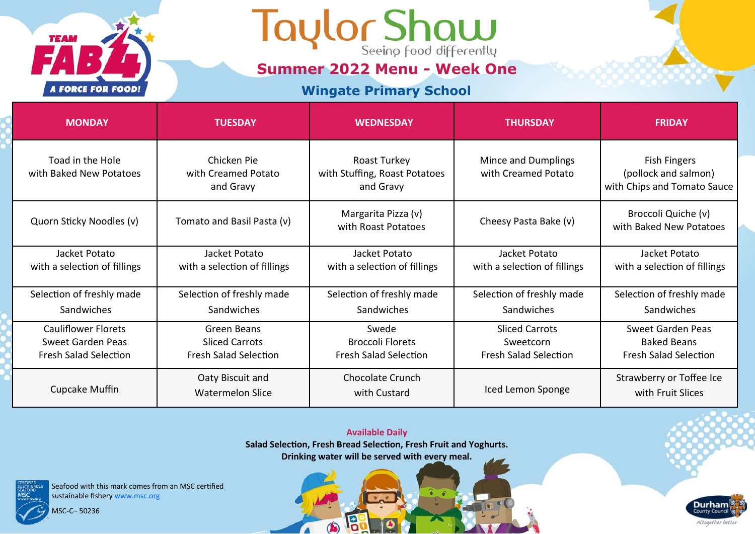

**Summer 2022 Menu - Week One**

### **Wingate Primary School**

| <b>MONDAY</b>                                                                   | <b>TUESDAY</b>                                                       | <b>WEDNESDAY</b>                                                 | <b>THURSDAY</b>                                                    | <b>FRIDAY</b>                                                              |
|---------------------------------------------------------------------------------|----------------------------------------------------------------------|------------------------------------------------------------------|--------------------------------------------------------------------|----------------------------------------------------------------------------|
| Toad in the Hole<br>with Baked New Potatoes                                     | Chicken Pie<br>with Creamed Potato<br>and Gravy                      | Roast Turkey<br>with Stuffing, Roast Potatoes<br>and Gravy       | Mince and Dumplings<br>with Creamed Potato                         | <b>Fish Fingers</b><br>(pollock and salmon)<br>with Chips and Tomato Sauce |
| Quorn Sticky Noodles (v)                                                        | Tomato and Basil Pasta (v)                                           | Margarita Pizza (v)<br>with Roast Potatoes                       | Cheesy Pasta Bake (v)                                              | Broccoli Quiche (v)<br>with Baked New Potatoes                             |
| Jacket Potato<br>with a selection of fillings                                   | Jacket Potato<br>with a selection of fillings                        | Jacket Potato<br>with a selection of fillings                    | Jacket Potato<br>with a selection of fillings                      | Jacket Potato<br>with a selection of fillings                              |
| Selection of freshly made                                                       | Selection of freshly made                                            | Selection of freshly made                                        | Selection of freshly made                                          | Selection of freshly made                                                  |
| Sandwiches                                                                      | Sandwiches                                                           | Sandwiches                                                       | Sandwiches                                                         | Sandwiches                                                                 |
| <b>Cauliflower Florets</b><br>Sweet Garden Peas<br><b>Fresh Salad Selection</b> | Green Beans<br><b>Sliced Carrots</b><br><b>Fresh Salad Selection</b> | Swede<br><b>Broccoli Florets</b><br><b>Fresh Salad Selection</b> | <b>Sliced Carrots</b><br>Sweetcorn<br><b>Fresh Salad Selection</b> | Sweet Garden Peas<br><b>Baked Beans</b><br><b>Fresh Salad Selection</b>    |
| Cupcake Muffin                                                                  | Oaty Biscuit and<br><b>Watermelon Slice</b>                          | Chocolate Crunch<br>with Custard                                 | Iced Lemon Sponge                                                  | Strawberry or Toffee Ice<br>with Fruit Slices                              |

**Available Daily Salad Selection, Fresh Bread Selection, Fresh Fruit and Yoghurts. Drinking water will be served with every meal.** 

19

 $\bigcirc$ 

 $\sqrt{2}$ 

Seafood with this mark comes from an MSC certified sustainable fishery www.msc.org

MSC-C– 50236

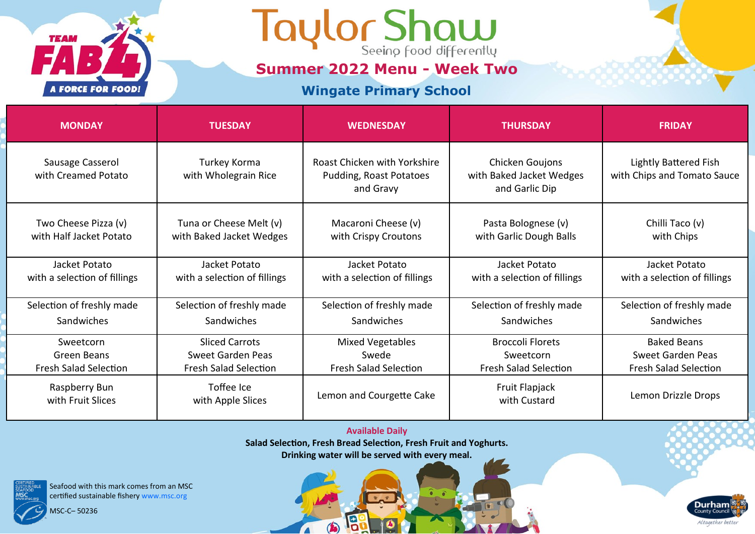

**Summer 2022 Menu - Week Two**

### **Wingate Primary School**

| <b>MONDAY</b>                                   | <b>TUESDAY</b>                                      | <b>WEDNESDAY</b>                                                     | <b>THURSDAY</b>                                               | <b>FRIDAY</b>                                               |
|-------------------------------------------------|-----------------------------------------------------|----------------------------------------------------------------------|---------------------------------------------------------------|-------------------------------------------------------------|
| Sausage Casserol<br>with Creamed Potato         | Turkey Korma<br>with Wholegrain Rice                | Roast Chicken with Yorkshire<br>Pudding, Roast Potatoes<br>and Gravy | Chicken Goujons<br>with Baked Jacket Wedges<br>and Garlic Dip | <b>Lightly Battered Fish</b><br>with Chips and Tomato Sauce |
| Two Cheese Pizza (v)<br>with Half Jacket Potato | Tuna or Cheese Melt (v)<br>with Baked Jacket Wedges | Macaroni Cheese (v)<br>with Crispy Croutons                          | Pasta Bolognese (v)<br>with Garlic Dough Balls                | Chilli Taco (v)<br>with Chips                               |
| Jacket Potato<br>with a selection of fillings   | Jacket Potato<br>with a selection of fillings       | Jacket Potato<br>with a selection of fillings                        | Jacket Potato<br>with a selection of fillings                 | Jacket Potato<br>with a selection of fillings               |
| Selection of freshly made                       | Selection of freshly made                           | Selection of freshly made                                            | Selection of freshly made                                     | Selection of freshly made                                   |
| Sandwiches                                      | Sandwiches                                          | Sandwiches                                                           | Sandwiches                                                    | Sandwiches                                                  |
| Sweetcorn                                       | <b>Sliced Carrots</b>                               | <b>Mixed Vegetables</b>                                              | <b>Broccoli Florets</b>                                       | <b>Baked Beans</b>                                          |
| Green Beans                                     | Sweet Garden Peas                                   | Swede                                                                | Sweetcorn                                                     | Sweet Garden Peas                                           |
| <b>Fresh Salad Selection</b>                    | <b>Fresh Salad Selection</b>                        | <b>Fresh Salad Selection</b>                                         | <b>Fresh Salad Selection</b>                                  | <b>Fresh Salad Selection</b>                                |
| Raspberry Bun<br>with Fruit Slices              | Toffee Ice<br>with Apple Slices                     | Lemon and Courgette Cake                                             | Fruit Flapjack<br>with Custard                                | Lemon Drizzle Drops                                         |

**Available Daily Salad Selection, Fresh Bread Selection, Fresh Fruit and Yoghurts. Drinking water will be served with every meal.** 

13

 $\bigcirc$ 

 $\sqrt{2}$ 

Seafood with this mark comes from an MSC certified sustainable fishery www.msc.org

MSC-C– 50236

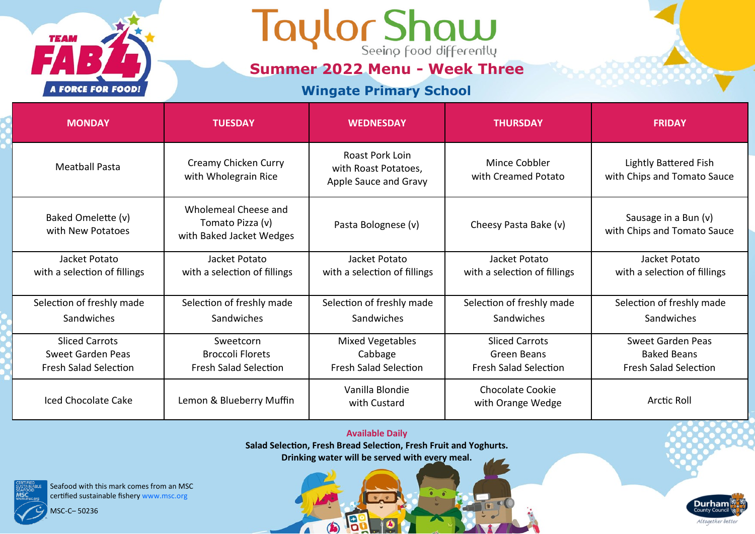

**Summer 2022 Menu - Week Three**

### **Wingate Primary School**

| <b>MONDAY</b>                                 | <b>TUESDAY</b>                                                       | <b>WEDNESDAY</b>                                                 | <b>THURSDAY</b>                               | <b>FRIDAY</b>                                        |
|-----------------------------------------------|----------------------------------------------------------------------|------------------------------------------------------------------|-----------------------------------------------|------------------------------------------------------|
| <b>Meatball Pasta</b>                         | Creamy Chicken Curry<br>with Wholegrain Rice                         | Roast Pork Loin<br>with Roast Potatoes,<br>Apple Sauce and Gravy | Mince Cobbler<br>with Creamed Potato          | Lightly Battered Fish<br>with Chips and Tomato Sauce |
| Baked Omelette (v)<br>with New Potatoes       | Wholemeal Cheese and<br>Tomato Pizza (v)<br>with Baked Jacket Wedges | Pasta Bolognese (v)                                              | Cheesy Pasta Bake (v)                         | Sausage in a Bun (v)<br>with Chips and Tomato Sauce  |
| Jacket Potato<br>with a selection of fillings | Jacket Potato<br>with a selection of fillings                        | Jacket Potato<br>with a selection of fillings                    | Jacket Potato<br>with a selection of fillings | Jacket Potato<br>with a selection of fillings        |
| Selection of freshly made                     | Selection of freshly made                                            | Selection of freshly made                                        | Selection of freshly made                     | Selection of freshly made                            |
| Sandwiches                                    | Sandwiches                                                           | Sandwiches                                                       | Sandwiches                                    | Sandwiches                                           |
| <b>Sliced Carrots</b>                         | Sweetcorn                                                            | <b>Mixed Vegetables</b>                                          | <b>Sliced Carrots</b>                         | Sweet Garden Peas                                    |
| Sweet Garden Peas                             | <b>Broccoli Florets</b>                                              | Cabbage                                                          | <b>Green Beans</b>                            | <b>Baked Beans</b>                                   |
| <b>Fresh Salad Selection</b>                  | <b>Fresh Salad Selection</b>                                         | <b>Fresh Salad Selection</b>                                     | <b>Fresh Salad Selection</b>                  | <b>Fresh Salad Selection</b>                         |
| Iced Chocolate Cake                           | Lemon & Blueberry Muffin                                             | Vanilla Blondie<br>with Custard                                  | <b>Chocolate Cookie</b><br>with Orange Wedge  | <b>Arctic Roll</b>                                   |

#### **Available Daily**

**Salad Selection, Fresh Bread Selection, Fresh Fruit and Yoghurts.**

**Drinking water will be served with every meal.** 

13

 $\bigcirc$ 

 $\sqrt{2}$ 

**Durham** 

Altogether better



Seafood with this mark comes from an MSC certified sustainable fishery www.msc.org

MSC-C– 50236